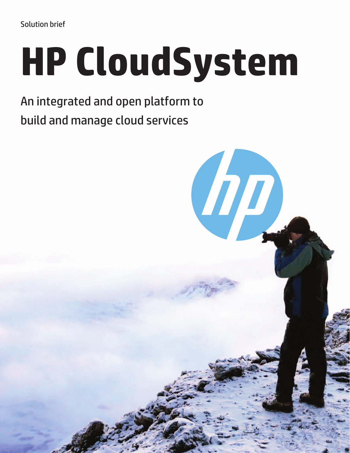# **HP CloudSystem**

An integrated and open platform to build and manage cloud services

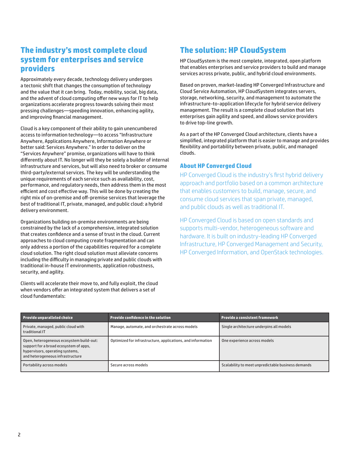## **The industry's most complete cloud system for enterprises and service providers**

Approximately every decade, technology delivery undergoes a tectonic shift that changes the consumption of technology and the value that it can bring. Today, mobility, social, big data, and the advent of cloud computing offer new ways for IT to help organizations accelerate progress towards solving their most pressing challenges—speeding innovation, enhancing agility, and improving financial management.

Cloud is a key component of their ability to gain unencumbered access to information technology—to access "Infrastructure Anywhere, Applications Anywhere, Information Anywhere or better said: Services Anywhere." In order to deliver on the "Services Anywhere" promise, organizations will have to think differently about IT. No longer will they be solely a builder of internal infrastructure and services, but will also need to broker or consume third-party/external services. The key will be understanding the unique requirements of each service such as availability, cost, performance, and regulatory needs, then address them in the most efficient and cost effective way. This will be done by creating the right mix of on-premise and off-premise services that leverage the best of traditional IT, private, managed, and public cloud: a hybrid delivery environment.

Organizations building on-premise environments are being constrained by the lack of a comprehensive, integrated solution that creates confidence and a sense of trust in the cloud. Current approaches to cloud computing create fragmentation and can only address a portion of the capabilities required for a complete cloud solution. The right cloud solution must alleviate concerns including the difficulty in managing private and public clouds with traditional in-house IT environments, application robustness, security, and agility.

Clients will accelerate their move to, and fully exploit, the cloud when vendors offer an integrated system that delivers a set of cloud fundamentals:

# **The solution: HP CloudSystem**

HP CloudSystem is the most complete, integrated, open platform that enables enterprises and service providers to build and manage services across private, public, and hybrid cloud environments.

Based on proven, market-leading HP Converged Infrastructure and Cloud Service Automation, HP CloudSystem integrates servers, storage, networking, security, and management to automate the infrastructure-to-application lifecycle for hybrid service delivery management. The result is a complete cloud solution that lets enterprises gain agility and speed, and allows service providers to drive top-line growth.

As a part of the HP Converged Cloud architecture, clients have a simplified, integrated platform that is easier to manage and provides flexibility and portability between private, public, and managed clouds.

## **About HP Converged Cloud**

HP Converged Cloud is the industry's first hybrid delivery approach and portfolio based on a common architecture that enables customers to build, manage, secure, and consume cloud services that span private, managed, and public clouds as well as traditional IT.

HP Converged Cloud is based on open standards and supports multi-vendor, heterogeneous software and hardware. It is built on industry-leading HP Converged Infrastructure, HP Converged Management and Security, HP Converged Information, and OpenStack technologies.

| Provide unparalleled choice                                                                                                                               | <b>Provide confidence in the solution</b>                   | <b>Provide a consistent framework</b>              |
|-----------------------------------------------------------------------------------------------------------------------------------------------------------|-------------------------------------------------------------|----------------------------------------------------|
| Private, managed, public cloud with<br>traditional IT                                                                                                     | Manage, automate, and orchestrate across models             | Single architecture underpins all models           |
| Open, heterogeneous ecosystem build-out:<br>support for a broad ecosystem of apps,<br>hypervisors, operating systems,<br>and heterogeneous infrastructure | Optimized for infrastructure, applications, and information | One experience across models                       |
| Portability across models                                                                                                                                 | Secure across models                                        | Scalability to meet unpredictable business demands |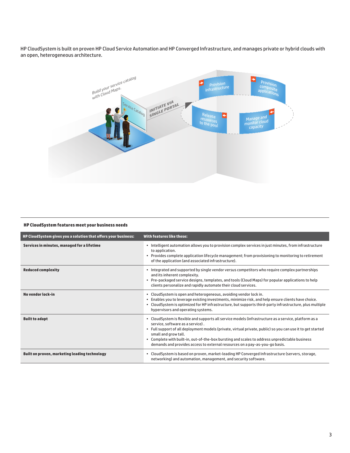HP CloudSystem is built on proven HP Cloud Service Automation and HP Converged Infrastructure, and manages private or hybrid clouds with an open, heterogeneous architecture.



#### **HP CloudSystem features meet your business needs**

| HP CloudSystem gives you a solution that offers your business: | With features like these:                                                                                                                                                                                                                                                                                                                                                                                                                                         |
|----------------------------------------------------------------|-------------------------------------------------------------------------------------------------------------------------------------------------------------------------------------------------------------------------------------------------------------------------------------------------------------------------------------------------------------------------------------------------------------------------------------------------------------------|
| Services in minutes, managed for a lifetime                    | • Intelligent automation allows you to provision complex services in just minutes, from infrastructure<br>to application.<br>• Provides complete application lifecycle management; from provisioning to monitoring to retirement<br>of the application (and associated infrastructure).                                                                                                                                                                           |
| <b>Reduced complexity</b>                                      | . Integrated and supported by single vendor versus competitors who require complex partnerships<br>and its inherent complexity.<br>• Pre-packaged service designs, templates, and tools (Cloud Maps) for popular applications to help<br>clients personalize and rapidly automate their cloud services.                                                                                                                                                           |
| No vendor lock-in                                              | • CloudSystem is open and heterogeneous, avoiding vendor lock in.<br>. Enables you to leverage existing investments, minimize risk, and help ensure clients have choice.<br>. CloudSystem is optimized for HP infrastructure, but supports third-party infrastructure, plus multiple<br>hypervisors and operating systems.                                                                                                                                        |
| <b>Built to adapt</b>                                          | . CloudSystem is flexible and supports all service models (infrastructure as a service, platform as a<br>service, software as a service).<br>. Full support of all deployment models (private, virtual private, public) so you can use it to get started<br>small and grow tall.<br>. Complete with built-in, out-of-the-box bursting and scales to address unpredictable business<br>demands and provides access to external resources on a pay-as-you-go basis. |
| Built on proven, marketing leading technology                  | . CloudSystem is based on proven, market-leading HP Converged Infrastructure (servers, storage,<br>networking) and automation, management, and security software.                                                                                                                                                                                                                                                                                                 |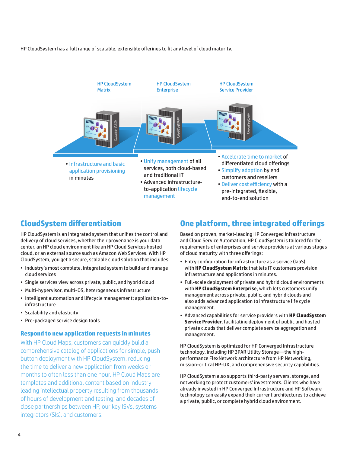HP CloudSystem has a full range of scalable, extensible offerings to fit any level of cloud maturity.



## **CloudSystem differentiation**

HP CloudSystem is an integrated system that unifies the control and delivery of cloud services, whether their provenance is your data center, an HP cloud environment like an HP Cloud Services hosted cloud, or an external source such as Amazon Web Services. With HP CloudSystem, you get a secure, scalable cloud solution that includes:

- Industry's most complete, integrated system to build and manage cloud services
- Single services view across private, public, and hybrid cloud
- Multi-hypervisor, multi-OS, heterogeneous infrastructure
- Intelligent automation and lifecycle management; application-toinfrastructure
- Scalability and elasticity
- Pre-packaged service design tools

## **Respond to new application requests in minutes**

With HP Cloud Maps, customers can quickly build a comprehensive catalog of applications for simple, push button deployment with HP CloudSystem, reducing the time to deliver a new application from weeks or months to often less than one hour. HP Cloud Maps are templates and additional content based on industryleading intellectual property resulting from thousands of hours of development and testing, and decades of close partnerships between HP, our key ISVs, systems integrators (SIs), and customers.

## **One platform, three integrated offerings**

Based on proven, market-leading HP Converged Infrastructure and Cloud Service Automation, HP CloudSystem is tailored for the requirements of enterprises and service providers at various stages of cloud maturity with three offerings:

- Entry configuration for infrastructure as a service (IaaS) with **HP CloudSystem Matrix** that lets IT customers provision infrastructure and applications in minutes.
- Full-scale deployment of private and hybrid cloud environments with **HP CloudSystem Enterprise**, which lets customers unify management across private, public, and hybrid clouds and also adds advanced application to infrastructure life cycle management.
- Advanced capabilities for service providers with **HP CloudSystem Service Provider**, facilitating deployment of public and hosted private clouds that deliver complete service aggregation and management.

HP CloudSystem is optimized for HP Converged Infrastructure technology, including HP 3PAR Utility Storage—the highperformance FlexNetwork architecture from HP Networking, mission-critical HP-UX, and comprehensive security capabilities.

HP CloudSystem also supports third-party servers, storage, and networking to protect customers' investments. Clients who have already invested in HP Converged Infrastructure and HP Software technology can easily expand their current architectures to achieve a private, public, or complete hybrid cloud environment.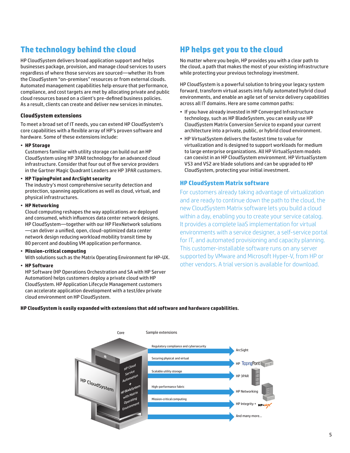# **The technology behind the cloud**

HP CloudSystem delivers broad application support and helps businesses package, provision, and manage cloud services to users regardless of where those services are sourced—whether its from the CloudSystem "on-premises" resources or from external clouds. Automated management capabilities help ensure that performance, compliance, and cost targets are met by allocating private and public cloud resources based on a client's pre-defined business policies. As a result, clients can create and deliver new services in minutes.

#### **CloudSystem extensions**

To meet a broad set of IT needs, you can extend HP CloudSystem's core capabilities with a flexible array of HP's proven software and hardware. Some of these extensions include:

#### • **HP Storage**

Customers familiar with utility storage can build out an HP CloudSystem using HP 3PAR technology for an advanced cloud infrastructure. Consider that four out of five service providers in the Gartner Magic Quadrant Leaders are HP 3PAR customers.

#### • **HP TippingPoint and ArcSight security**

The industry's most comprehensive security detection and protection, spanning applications as well as cloud, virtual, and physical infrastructures.

#### • **HP Networking**

Cloud computing reshapes the way applications are deployed and consumed, which influences data center network designs. HP CloudSystem—together with our HP FlexNetwork solutions —can deliver a unified, open, cloud-optimized data center network design reducing workload mobility transit time by 80 percent and doubling VM application performance.

#### • **Mission-critical computing**

With solutions such as the Matrix Operating Environment for HP-UX.

#### • **HP Software**

HP Software (HP Operations Orchestration and SA with HP Server Automation) helps customers deploy a private cloud with HP CloudSystem. HP Application Lifecycle Management customers can accelerate application development with a test/dev private cloud environment on HP CloudSystem.

# **HP helps get you to the cloud**

No matter where you begin, HP provides you with a clear path to the cloud, a path that makes the most of your existing infrastructure while protecting your previous technology investment.

HP CloudSystem is a powerful solution to bring your legacy system forward, transform virtual assets into fully automated hybrid cloud environments, and enable an agile set of service delivery capabilities across all IT domains. Here are some common paths:

- If you have already invested in HP Converged Infrastructure technology, such as HP BladeSystem, you can easily use HP CloudSystem Matrix Conversion Service to expand your current architecture into a private, public, or hybrid cloud environment.
- HP VirtualSystem delivers the fastest time to value for virtualization and is designed to support workloads for medium to large enterprise organizations. All HP VirtualSystem models can coexist in an HP CloudSystem environment. HP VirtualSystem VS3 and VS2 are blade solutions and can be upgraded to HP CloudSystem, protecting your initial investment.

## **HP CloudSystem Matrix software**

For customers already taking advantage of virtualization and are ready to continue down the path to the cloud, the new CloudSystem Matrix software lets you build a cloud within a day, enabling you to create your service catalog. It provides a complete IaaS implementation for virtual environments with a service designer, a self-service portal for IT, and automated provisioning and capacity planning. This customer-installable software runs on any server supported by VMware and Microsoft Hyper-V, from HP or other vendors. A trial version is available for download.

#### **HP CloudSystem is easily expanded with extensions that add software and hardware capabilities.**

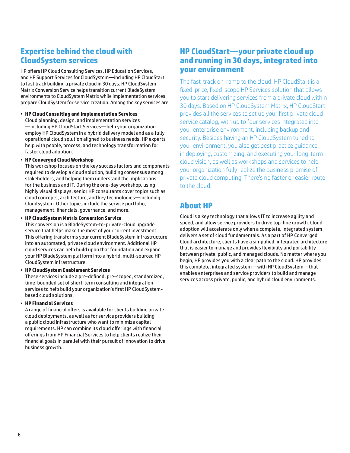# **Expertise behind the cloud with CloudSystem services**

HP offers HP Cloud Consulting Services, HP Education Services, and HP Support Services for CloudSystem—including HP CloudStart to fast track building a private cloud in 30 days. HP CloudSystem Matrix Conversion Service helps transition current BladeSystem environments to CloudSystem Matrix while implementation services prepare CloudSystem for service creation. Among the key services are:

#### • **HP Cloud Consulting and Implementation Services**

Cloud planning, design, and implementation services —including HP CloudStart Services—help your organization employ HP CloudSystem in a hybrid delivery model and as a fully operational cloud solution aligned to business needs. HP experts help with people, process, and technology transformation for faster cloud adoption.

#### • **HP Converged Cloud Workshop**

This workshop focuses on the key success factors and components required to develop a cloud solution, building consensus among stakeholders, and helping them understand the implications for the business and IT. During the one-day workshop, using highly visual displays, senior HP consultants cover topics such as cloud concepts, architecture, and key technologies—including CloudSystem. Other topics include the service portfolio, management, financials, governance, and more.

#### • **HP CloudSystem Matrix Conversion Service**

This conversion is a BladeSystem-to-private-cloud upgrade service that helps make the most of your current investment. This offering transforms your current BladeSystem infrastructure into an automated, private cloud environment. Additional HP cloud services can help build upon that foundation and expand your HP BladeSystem platform into a hybrid, multi-sourced HP CloudSystem infrastructure.

#### • **HP CloudSystem Enablement Services**

These services include a pre-defined, pre-scoped, standardized, time-bounded set of short-term consulting and integration services to help build your organization's first HP CloudSystembased cloud solutions.

#### • **HP Financial Services**

A range of financial offers is available for clients building private cloud deployments, as well as for service providers building a public cloud infrastructure who want to minimize capital requirements. HP can combine its cloud offerings with financial offerings from HP Financial Services to help clients realize their financial goals in parallel with their pursuit of innovation to drive business growth.

## **HP CloudStart—your private cloud up and running in 30 days, integrated into your environment**

The fast-track on-ramp to the cloud, HP CloudStart is a fixed-price, fixed-scope HP Services solution that allows you to start delivering services from a private cloud within 30 days. Based on HP CloudSystem Matrix, HP CloudStart provides all the services to set up your first private cloud service catalog, with up to four services integrated into your enterprise environment, including backup and security. Besides having an HP CloudSystem tuned to your environment, you also get best practice guidance in deploying, customizing, and executing your long-term cloud vision, as well as workshops and services to help your organization fully realize the business promise of private cloud computing. There's no faster or easier route to the cloud.

## **About HP**

Cloud is a key technology that allows IT to increase agility and speed, and allow service providers to drive top-line growth. Cloud adoption will accelerate only when a complete, integrated system delivers a set of cloud fundamentals. As a part of HP Converged Cloud architecture, clients have a simplified, integrated architecture that is easier to manage and provides flexibility and portability between private, public, and managed clouds. No matter where you begin, HP provides you with a clear path to the cloud. HP provides this complete, integrated system—with HP CloudSystem—that enables enterprises and service providers to build and manage services across private, public, and hybrid cloud environments.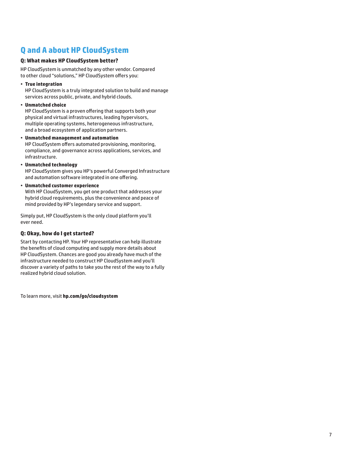# **Q and A about HP CloudSystem**

## **Q: What makes HP CloudSystem better?**

HP CloudSystem is unmatched by any other vendor. Compared to other cloud "solutions," HP CloudSystem offers you:

• **True integration**

HP CloudSystem is a truly integrated solution to build and manage services across public, private, and hybrid clouds.

• **Unmatched choice**

HP CloudSystem is a proven offering that supports both your physical and virtual infrastructures, leading hypervisors, multiple operating systems, heterogeneous infrastructure, and a broad ecosystem of application partners.

- **Unmatched management and automation** HP CloudSystem offers automated provisioning, monitoring, compliance, and governance across applications, services, and infrastructure.
- **Unmatched technology**

HP CloudSystem gives you HP's powerful Converged Infrastructure and automation software integrated in one offering.

• **Unmatched customer experience**

With HP CloudSystem, you get one product that addresses your hybrid cloud requirements, plus the convenience and peace of mind provided by HP's legendary service and support.

Simply put, HP CloudSystem is the only cloud platform you'll ever need.

## **Q: Okay, how do I get started?**

Start by contacting HP. Your HP representative can help illustrate the benefits of cloud computing and supply more details about HP CloudSystem. Chances are good you already have much of the infrastructure needed to construct HP CloudSystem and you'll discover a variety of paths to take you the rest of the way to a fully realized hybrid cloud solution.

To learn more, visit **[hp.com/go/cloudsystem](http://www.hp.com/go/cloudsystem)**